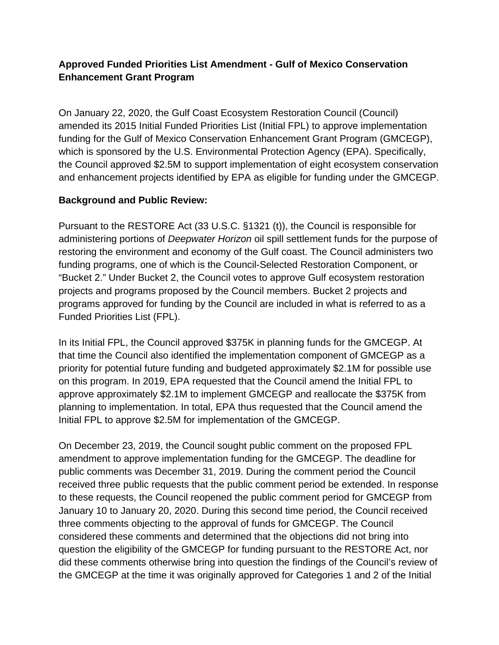## **Approved Funded Priorities List Amendment - Gulf of Mexico Conservation Enhancement Grant Program**

On January 22, 2020, the Gulf Coast Ecosystem Restoration Council (Council) amended its 2015 Initial Funded Priorities List (Initial FPL) to approve implementation funding for the Gulf of Mexico Conservation Enhancement Grant Program (GMCEGP), which is sponsored by the U.S. Environmental Protection Agency (EPA). Specifically, the Council approved \$2.5M to support implementation of eight ecosystem conservation and enhancement projects identified by EPA as eligible for funding under the GMCEGP.

## **Background and Public Review:**

Pursuant to the RESTORE Act (33 U.S.C. §1321 (t)), the Council is responsible for administering portions of *Deepwater Horizon* oil spill settlement funds for the purpose of restoring the environment and economy of the Gulf coast. The Council administers two funding programs, one of which is the Council-Selected Restoration Component, or "Bucket 2." Under Bucket 2, the Council votes to approve Gulf ecosystem restoration projects and programs proposed by the Council members. Bucket 2 projects and programs approved for funding by the Council are included in what is referred to as a Funded Priorities List (FPL).

In its Initial FPL, the Council approved \$375K in planning funds for the GMCEGP. At that time the Council also identified the implementation component of GMCEGP as a priority for potential future funding and budgeted approximately \$2.1M for possible use on this program. In 2019, EPA requested that the Council amend the Initial FPL to approve approximately \$2.1M to implement GMCEGP and reallocate the \$375K from planning to implementation. In total, EPA thus requested that the Council amend the Initial FPL to approve \$2.5M for implementation of the GMCEGP.

On December 23, 2019, the Council sought public comment on the proposed FPL amendment to approve implementation funding for the GMCEGP. The deadline for public comments was December 31, 2019. During the comment period the Council received three public requests that the public comment period be extended. In response to these requests, the Council reopened the public comment period for GMCEGP from January 10 to January 20, 2020. During this second time period, the Council received three comments objecting to the approval of funds for GMCEGP. The Council considered these comments and determined that the objections did not bring into question the eligibility of the GMCEGP for funding pursuant to the RESTORE Act, nor did these comments otherwise bring into question the findings of the Council's review of the GMCEGP at the time it was originally approved for Categories 1 and 2 of the Initial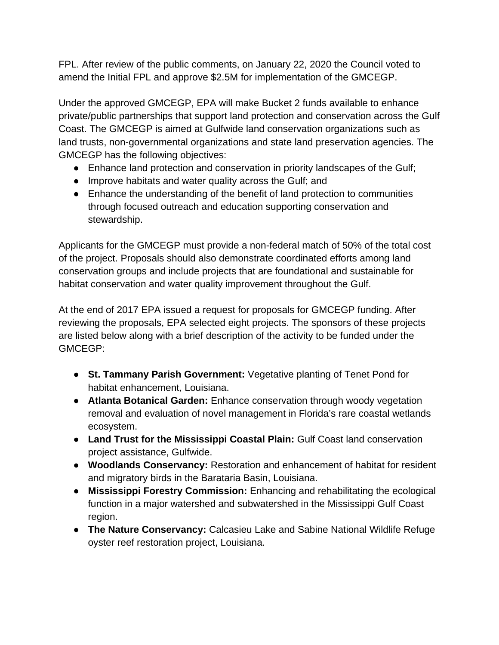FPL. After review of the public comments, on January 22, 2020 the Council voted to amend the Initial FPL and approve \$2.5M for implementation of the GMCEGP.

Under the approved GMCEGP, EPA will make Bucket 2 funds available to enhance private/public partnerships that support land protection and conservation across the Gulf Coast. The GMCEGP is aimed at Gulfwide land conservation organizations such as land trusts, non-governmental organizations and state land preservation agencies. The GMCEGP has the following objectives:

- Enhance land protection and conservation in priority landscapes of the Gulf;
- Improve habitats and water quality across the Gulf; and
- Enhance the understanding of the benefit of land protection to communities through focused outreach and education supporting conservation and stewardship.

Applicants for the GMCEGP must provide a non-federal match of 50% of the total cost of the project. Proposals should also demonstrate coordinated efforts among land conservation groups and include projects that are foundational and sustainable for habitat conservation and water quality improvement throughout the Gulf.

At the end of 2017 EPA issued a request for proposals for GMCEGP funding. After reviewing the proposals, EPA selected eight projects. The sponsors of these projects are listed below along with a brief description of the activity to be funded under the GMCEGP:

- **St. Tammany Parish Government:** Vegetative planting of Tenet Pond for habitat enhancement, Louisiana.
- **Atlanta Botanical Garden:** Enhance conservation through woody vegetation removal and evaluation of novel management in Florida's rare coastal wetlands ecosystem.
- **Land Trust for the Mississippi Coastal Plain:** Gulf Coast land conservation project assistance, Gulfwide.
- **Woodlands Conservancy:** Restoration and enhancement of habitat for resident and migratory birds in the Barataria Basin, Louisiana.
- **Mississippi Forestry Commission:** Enhancing and rehabilitating the ecological function in a major watershed and subwatershed in the Mississippi Gulf Coast region.
- **The Nature Conservancy:** Calcasieu Lake and Sabine National Wildlife Refuge oyster reef restoration project, Louisiana.